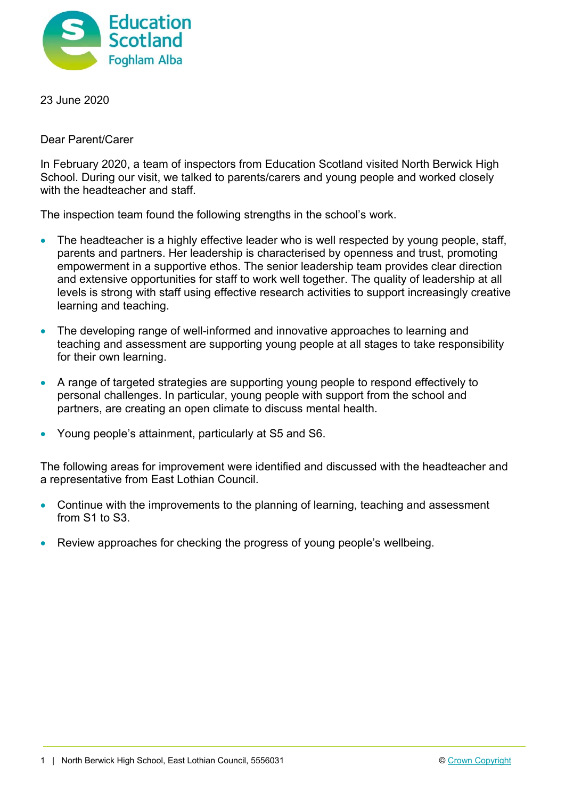

23 June 2020

Dear Parent/Carer

In February 2020, a team of inspectors from Education Scotland visited North Berwick High School. During our visit, we talked to parents/carers and young people and worked closely with the headteacher and staff.

The inspection team found the following strengths in the school's work.

- The headteacher is a highly effective leader who is well respected by young people, staff, parents and partners. Her leadership is characterised by openness and trust, promoting empowerment in a supportive ethos. The senior leadership team provides clear direction and extensive opportunities for staff to work well together. The quality of leadership at all levels is strong with staff using effective research activities to support increasingly creative learning and teaching.
- The developing range of well-informed and innovative approaches to learning and teaching and assessment are supporting young people at all stages to take responsibility for their own learning.
- A range of targeted strategies are supporting young people to respond effectively to personal challenges. In particular, young people with support from the school and partners, are creating an open climate to discuss mental health.
- Young people's attainment, particularly at S5 and S6.

The following areas for improvement were identified and discussed with the headteacher and a representative from East Lothian Council.

- Continue with the improvements to the planning of learning, teaching and assessment from S1 to S3.
- Review approaches for checking the progress of young people's wellbeing.